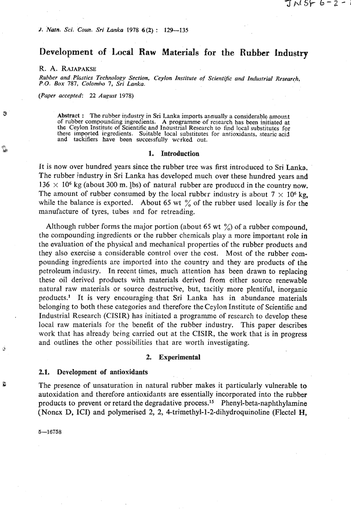# **Development of Local Raw Materials for the Rubber Industry**

J N SF 6–2–

R. A. RAJAPAKSE

 $Rubber$  and Plastics Technology Section, Ceylon Institute of Scientific and Industrial Research, **P.O.** *Box* **787,** *Colomho* **7, Sri** *Lanks.* 

*(Paper accepted:* **22** *August* **1978)** 

Abstract : The rubber industry in Sri Lanka imports annually a considerable amount of rubber compounding ingredients. A programme of research has been initiated at the Ceylon Institute of Scientific and Inquistrial Research to find local substitutes for these imported ingredients. Suitable local substitutes for antioxidants, stearic acid and tackifiers have been successfully wrrked out.

## G **1. Introduction**

It is now over hundred years since the rubber tree was first introduced to Sri **Lanka.**  The rubber industry in Sri Lanka has developed much over these hundred years and 136  $\times$  10<sup>6</sup> kg (about 300 m. <u>I</u>bs) of natural rubber are produced in the country now. The amount of rubber consumed by the local rubber industry is about  $7 \times 10^6$  kg, while the balance is exported. About 65 wt  $\frac{9}{6}$  of the rubber used locally is for the manufacture of tyres, tubes and for retreading.

Although rubber forms the major portion (about 65 wt  $\frac{\%}{\%}$ ) of a rubber compound, the compounding ingredients or the rubber chemicals play a more important role in the evaluation of the physical and mechanical properties of the rubber products and they also exercise a considerable control over the cost. Most of the rubber compounding ingredients are imported into the country and they are products of the petroleum industry. In recent times, much attention has been drawn to replacing these oil derived products with materials derived from either source renewable natural raw inaterials or source destructive, but, tacitly more plentiful, inorganic products.' It is very encouraging that Sri Lanka has in abundance materials belonging to both these categories and therefore the Ceylon Institute of Scientific and Industrial Research (CISIR) has initiated a programme of research to develop these local raw materials for the benefit of the rubber industry. This paper describes work that has already being carried out at the CISIR, the work that is in progress and outlines the other possibilities that are worth investigating.

### **2. Experimental**

#### **2.1. Development of antioxidants**

**3** The presence of unsaturation in natural rubber makes it particularly vulnerable to autoxidation and therefore antioxidants are essentially incorporated into the rubber products to prevent or retard the degradative process.<sup>15</sup> Phenyl-beta-naphthylamine (Noncx D, ICI) and polymerised **2,** 2, **4-trimethyl-1-2-dihydroquinoline** (Flectel H,

 $5 - 16758$ 

**2** 

Я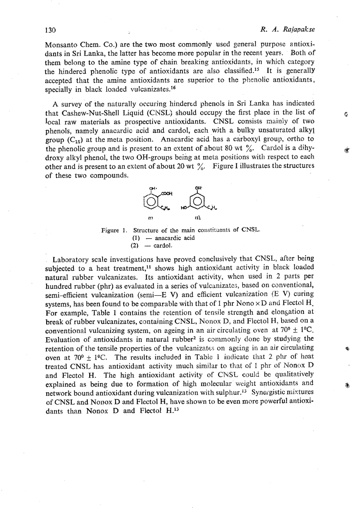$\mathcal{C}_{\mathcal{E}}$ 

Monsanto Chem. Co.) are the two most commonly used general purpose antioxidants in Sri Lanka, the latter has become more popular in the recent years. Both of them belong to the amine type of chain breaking antioxidants, in which category the hindered phenolic type of antioxidants are also classified.<sup>15</sup> It is generally accepted that the amine antioxidants are superior to the phenolic antioxidants, specially in black loaded vulcanizates.<sup>16</sup>

**A** survey of the naturally occuring hindertd phenols in Sri Lanka has indicated that Cashew-Nut-Shell Liquid (CNSL) should occupy the first place in the list of local raw materials as prospective antioxidants. CNSL consists mainly of two phenols, namely anacardic acid and cardol, each with a bulky unsaturated alkyl group  $(C_{15})$  at the meta position. Anacardic acid has a carboxyl group, ortho to the phenolic group and is present to an extent of about 80 wt  $\frac{6}{10}$ . Cardol is a dihydroxy alkyl phenal, the two OH-groups being at meta positions with respect to **each**  other and is present to an extent of about 20 wt  $\frac{9}{6}$ . Figure I illustrates the structures of these two compounds.



**Figure 1.** Structure of the main constituents of CNSL. (1) — anacardic acid  $(1)$  — anacardic acid<br> $(2)$  — cardol.

Laboratory scale investigations have proved conclusively that CNSL, after being subjected to a heat treatment,<sup>11</sup> shows high antioxidant activity in black loaded natural rubber vulcanizates. Its antioxidant activity, when used in 2 parts per hundred rubber (phr) as evaluated in a series of vulcanizates, based on conventional, semi-efficient vulcanization (semi-E V) and efficient vulcanization **(E** V) curing systems, has been found to be comparable with that of 1 phr Nono x D and Flectol **H.**  For example, Table 1 contains the retention of tensile strength and elongation at break of rubber vulcanizates, containing CNSL, Nonox D, and Flectol **H,** based on a conventional vulcanizing system, on ageing in an air circulating oven at  $70^{\circ} \pm 1^{\circ}\text{C}$ . Evaluation of antioxidants in natural rubber<sup>2</sup> is commonly done by studying the retention of the tensile properties of the vulcanizates on ageing in an air circulating oven at  $70^{\circ} \pm 1^{\circ}$ C. The results included in Table 1 indicate that 2 phr of heat treated CNSL has antioxidant activity much similar to that of I phr of Nonox D and Flectol H. The high antioxidant activity of **CNSt** could **be** qualitatively explained as being due to formation of high molecular weight antioxidants aad network bound antioxidant during vulcanization with sulphur.13 Synergistic mixtures of CNSL and Nonox D and Flectol H, have shown to be even more powerful antioxidants than Nonox D and Flectol **H.13** 

#### 130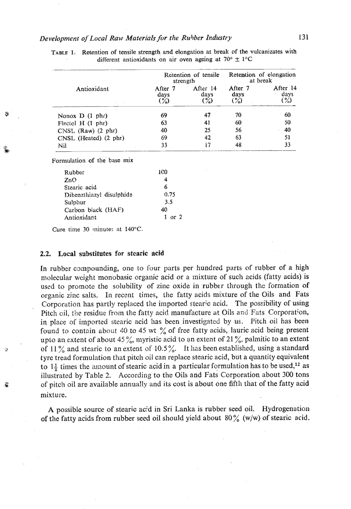| Antioxidant                            |                                   | Retention of tensile<br>strength  | Retention of elongation<br>at break |                          |
|----------------------------------------|-----------------------------------|-----------------------------------|-------------------------------------|--------------------------|
|                                        | After 7<br>days<br>$\binom{9}{2}$ | After 14<br>days<br>$\mathcal{C}$ | After 7<br>days<br>$(\%)$           | After 14<br>days<br>$\%$ |
| Nonox $D(1 phr)$                       | 69                                | 47                                | 70                                  | 60                       |
| $F_{\text{electo}}$ $H(1 \text{ phr})$ | 63                                | 41                                | 60                                  | 50                       |
| $CNSL$ (Raw) $(2 \text{ phr})$         | 40                                | 25                                | 56                                  | 40                       |
| CNSL (Heated) (2 phr)                  | 69                                | 42                                | 63                                  | 51                       |
| Nil                                    | 33                                |                                   | 48                                  | 33                       |

**TABLE 1. Retention of tensile strength and elongation at break of the volcanizates with**  different antioxidants on air oven ageing at  $70^{\circ} \pm 1^{\circ}C$ 

Formulation of the base mix

| Rubber                   | 1CO        |
|--------------------------|------------|
| ZnO                      |            |
| Stearic acid             | 6          |
| Dibenzthiazyl disulphide | 0.75       |
| Sulphur                  | 3.5        |
| Carbon black (HAF)       | 40         |
| Antioxidant              | $1$ or $2$ |

**Cure time 30 minutes at 140°C.** 

### 2.2. **Local** substitutes **for stcaric acid**

In rubber compounding, one to four parts per hundred parts of rubber of a high molecular weight monobasic organic acid or a mixture of such acids (fatty acids) is used to promote the solubility of zinc oxide in rubber through the formation of organic zinc salts. In recent times, the fatty **acids** mixture of the Oils and Fats Corporation has partly replaced the imported stearic acid. The possibility of using Pitch oil, the residue from the fatty acid manufacture at Oils and Fats Corporation, in place sf imported stearic acid has been investigated by us. Pitch oil has been found to contain about 40 to 45 wt  $\%$  of free fatty acids, lauric acid being present upto an extent of about 45%, myristic acid to an extent of 21%, palmitic to an extent of 11% and stearic to an extent of 10.5%. It has been established, using a standard tyrc tread formulation that pitch oil can replace stearic acid, but **a** quantity equivalent to  $1\frac{1}{2}$  times the amount of stearic acid in a particular formulation has to be used,<sup>12</sup> as illustrated by Table 2. According to the Oils and Fats Corporation about 300 tons **G** of pitch oil are available annually and its cost is about one fifth that of the fatty acid mixture.

**A** possible source of stearic acjd in Sri Lanka is rubber seed oil. Hydrogenation of the fatty acids from rubber seed oil should yield about 80 % **(w/w)** of stearic acid.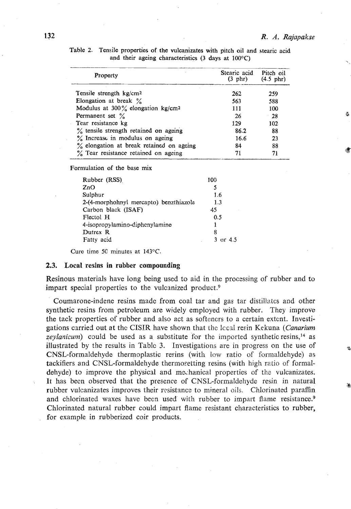| Property                                      | Stearic acid<br>(3 phr) | Pitch oil<br>$(4.5 \text{ phr})$ |
|-----------------------------------------------|-------------------------|----------------------------------|
| Tensile strength kg/cm <sup>2</sup>           | 262                     | 259                              |
| Elongation at break $\%$                      | 563                     | 588                              |
| Modulus at 300% elongation kg/cm <sup>2</sup> | 111                     | 100                              |
| Permanent set $\%$                            | 26                      | -28                              |
| Tear resistance kg                            | 129                     | 102                              |
| % tensile strength retained on ageing         | 86.2                    | 88                               |
| % Increase in modulus on ageing               | 16.6                    | 23                               |
| % elongation at break retained on ageing      | 84                      | 88                               |
| % Tear resistance retained on ageing          |                         | 71                               |

Table 2. Tensile properties of the vulcanizates with pitch oil and stearic acid and their ageing characteristics (3 days at 100°C)

Formulation of the base mix

| Rubber (RSS)                           | 100                 |
|----------------------------------------|---------------------|
| ZnO                                    |                     |
| Sulphur                                | 1.6                 |
| 2-(4-morphohnyl mercapto) benziniazole | 1.3                 |
| Carbon black (ISAF)                    | 45                  |
| Flectol H                              | 0.5                 |
| 4-isopropylamino-diphenylamine         | Ŧ                   |
| Dutrex R                               | 8                   |
| Fatty acid                             | $3 \text{ or } 4.5$ |

Cure time 5C minutes at 143°C.

## **2.3. Local resins in rubber compounding**

Resinous materials have long being used to aid in the processing of rubber and to impart special properties to the vulcanized product.<sup>9</sup>

Coumarone-indene resins made from coal tar and gas tar distillates and other synthetic resins from petroleum are widely employed with rubber. They improvo the tack properties of rubber and also act as softeners to a certain extcnt. Investigations carried out at the CISIR have shown that the lccal resin Kekuna *(Canarium* zeylanicum) could be used as a substitute for the imported synthetic resins,<sup>14</sup> as illustrated by the results in Table **3.** Investigations are in progress on the use of CNSL-formaldehyde thermoplastic resins (with low ratio of formaldehyde) as tackifiers and CNSL-formaldehyde thermosetting resins (with high ratio of formaldehyde) to improve the physical and methanical properties of the vulcanizates. It has been observed that the presence of CNSL-formaldehyde resin in natural rubber vulcanizates improves their resistance to mineral oils. Chlorinated parafin and chlorinated waxes have been used with rubber to impart flame resistance.<sup>9</sup> Chlorinated natural rubber could impart flame resistant characteristics to rubber, for example in rubberized coir products.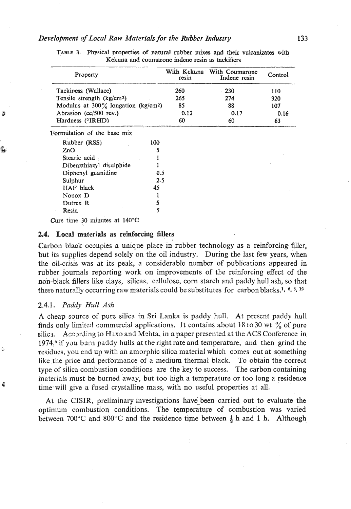### *Development of Local Raw Materialsfor the Rubber* **Industry**

|                                                    |     |       | With Kekuna With Coumarone |         |  |
|----------------------------------------------------|-----|-------|----------------------------|---------|--|
| Property                                           |     | resin | Indene resin               | Control |  |
| Tackiness (Wallace)                                |     | 260   | 230                        | 110     |  |
| Tensile strength (kg/cm <sup>2</sup> )             |     | 265   | 274                        | 320     |  |
| Modulus at $300\%$ longation (kg/cm <sup>2</sup> ) |     | 85    | 88                         | 107     |  |
| Abrasion (cc/500 rev.)                             |     | 0.12  | 0.17                       | 0.16    |  |
| Hardness (°IRHD)                                   |     | 60    | 60                         | 63      |  |
| Formulation of the base mix                        |     |       |                            |         |  |
| Rubber (RSS)                                       | 100 |       |                            |         |  |
| ZnO                                                | 5   |       |                            |         |  |
| Stearic acid                                       |     |       |                            |         |  |
| Dibenzthiazyl disulphide                           |     |       |                            |         |  |
| Diphenyl guanidine                                 | 0.5 |       |                            |         |  |
| Sulphur                                            | 2.5 |       |                            |         |  |
| HAF black                                          | 45  |       |                            |         |  |
| Nonox D                                            |     |       |                            |         |  |
|                                                    |     |       |                            |         |  |
| Dutrex R                                           | 5   |       |                            |         |  |

**TABLE 3. Physical properties of natural rcbber mixes and their vulcanizates with Kekuna and coumarone indene resin as tackifiers** 

# 2.4. **Local** materials as **reinforcing fillers**

Carbon black occupies a unique place in rubber technology as a reinforcing filler, but its supplies depend solely on the oil industry. During the last few years, when the oil-crisis was at its peak, a considerable number of publications appeared in rubber journals reporting work on improvements of the reinforcing effect of the non-b!ack fillers like clays, silicas, cellulose, corn starch and paddy hull ash, so that these naturally occurring raw materials could be substitutes for carbon blacks.<sup>1, 6, 8, 19</sup>

### **2.4.1..** *Paddy Hull Ash*

B

A cheap source of pure silica in Sri Lanka is paddy hull. At present paddy hull finds only limited commercial applications. It contains about 18 to 30 wt  $\frac{9}{6}$  of pure silica. According to Haxo and Mehta, in a paper presented at the ACS Conference in  $1974<sub>6</sub>$  if you burn paddy hulls at the right rate and temperature, and then grind the <sup>6</sup> **5. residues, you end up with an amorphic silica material which comes out at something** like the price and performance of a medium thermal black. To obtain the correct type of silica combustion conditions are the key to success. The carbon containing materials must be burned away, but too **high** a temperature or too long a residence **4 time** will give a fused crystalline mass, with no useful properties at all.

> At the CISIR, preliminary investigations have been carried out to evaluate the optimum combustion conditions. The temperature of combustion was varied between 700°C and 800°C and the residence time between  $\frac{1}{2}$  h and 1 h. Although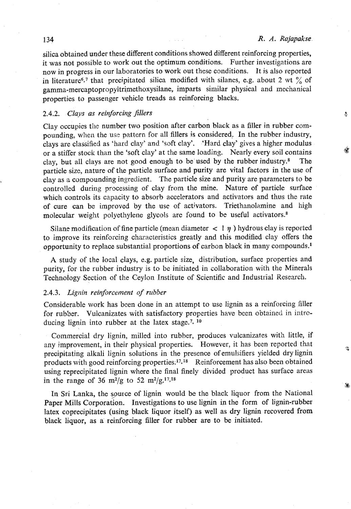A

ą,

silica obtained under these different conditions showed different reinforcing properties, it was not possible to work out the optimum conditions. Further investigations are now in progress in our laboratories to work out these conditions. It is also reported in literature<sup>6,7</sup> that precipitated silica modified with silanes, e.g. about 2 wt  $\%$  of gamma-mercaptopropyltrimethoxysilane, imparts siznilar physical and mechanical properties to passenger vehicle treads as reinforcing blacks.

# *2.4.2. Clays as* **reinforcing fillers**

Clay occupics tile number two position after carbon **black** as a filler in rubber compounding, when the **us-** pattern for all fillers **is** considered, In the rubber industry, clays are clasified as 'hard clay' and %oft clay'. 'Hard clay' gives a higher modulus or a stiffer stock than the 'soft clay' at the same loading. Nearly every soil contains clay, but all clays are not good enough to be used by the rubber industry.<sup>8</sup> particle size, nature of the particle surface and purity are vital factors in the use of clay as a compounding ingredient. 'The particle size **and** purity are parameters to be controlled during processing of clay from the mine. Nature of particle surface which controls its capacity to absorb accelerators and activators and thus the rate of cure can be improved by the use of activators. Triethanolamine and high molecular weight polyethylene glycols are found to be useful activators.<sup>8</sup>

Silane modification of fine particle (mean diameter  $\langle 1 \eta \rangle$ ) hydrous clay is reported to improve its reinforcing characteristics greatly and this modified clay offers the opportunity to replace substantial proportions of carbon black in many compounds.<sup>1</sup>

**A** study of the local clays, **e.g.** particle size, distribution, surface properties and purity, for the rubber industry is to be initiated in collaboration with the Minerals Technology Section of the Ceylon Institute of Scientific and Industrial Research.

# 2.4.3. Lignin reinforcement of rubber

Considerable work has been done in an attempt to use lignin as a reinforcing filler for rub'oer. Vulcanizates with satisfactory properties **have** been obtained in introducing lignin into rubber at the latex stage.<sup>7, 10</sup>

Commercial dry lignin, milled into rubber, produces vulcanizates with little, if any improvement, in their physical properties. However, **it** has been reported that precipitating alkali lignin solutions in the presence ofemulsifiers yielded dry lignin products with good reinforcing properties: $17,18$  Reinforcement has also been obtained using reprecipitated lignin where the final finely divided product has surface areas in the range of 36 m<sup>2</sup>/g to 52 m<sup>2</sup>/g.<sup>17,18</sup>

In Sri Lanka, the source of lignin would be the black liquor from the National Paper Mills Corporation. Investigations to use lignin in the form of lignin-rubber latex coprecipitates (using black liquor itself) as well as dry lignin recovered from black liquor, as a reinforcing filler for rubber are to be initiated.